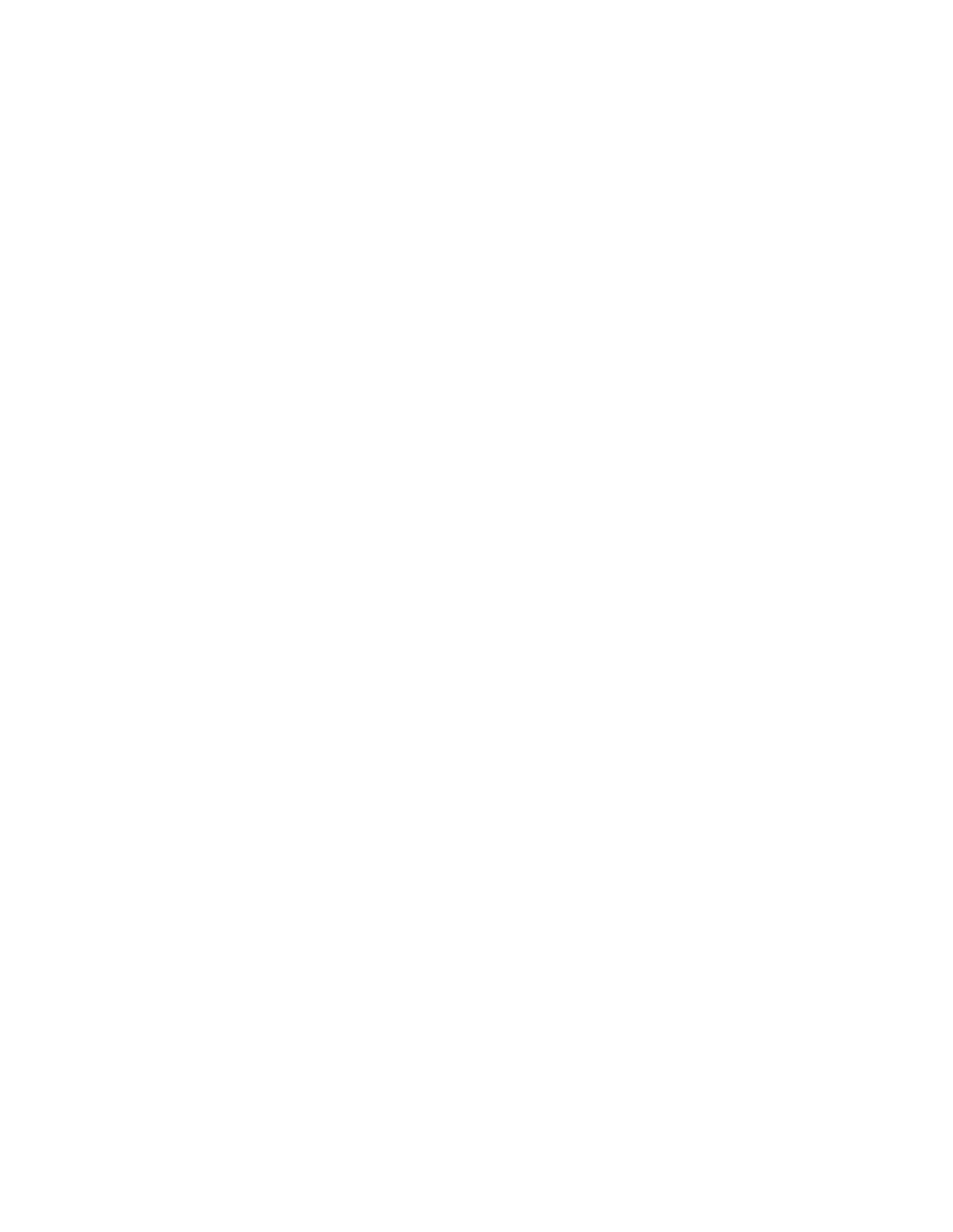## **FORM 52-109F1 CERTIFICATION OF ANNUAL FILINGS FULL CERTIFICATE**

I, Jacques Potvin, Executive Vice-President, CFO and Chief Actuary of iA Financial Corporation Inc., certify the following:

1. *Review:* I have reviewed the AIF, if any, annual financial statements and annual MD&A, including, for greater certainty, all documents and information that are incorporated by reference in the AIF (together, the "annual filings") of iA Financial Corporation Inc. (the "issuer") for the financial year ended December 31, 2020.

2. *No misrepresentations:* Based on my knowledge, having exercised reasonable diligence, the annual filings do not contain any untrue statement of a material fact or omit to state a material fact required to be stated or that is necessary to make a statement not misleading in light of the circumstances under which it was made, with respect to the period covered by the annual filings.

3. *Fair presentation:* Based on my knowledge, having exercised reasonable diligence, the annual financial statements together with the other financial information included in the annual filings fairly present in all material respects the financial condition, financial performance and cash flows of the issuer, as of the date of and for the periods presented in the annual filings.

4. *Responsibility:* The issuer's other certifying officer(s) and I are responsible for establishing and maintaining disclosure controls and procedures (DC&P) and internal control over financial reporting (ICFR), as those terms are defined in Regulation 52-109 respecting Certification of Disclosure in Issuers' Annual and Interim Filings (c. V-1.1, r. 27), for the issuer.

5. *Design:* Subject to the limitations, if any, described in paragraphs 5.2 and 5.3, the issuer's other certifying officer(s) and I have, as at the financial year end

- (a) designed DC&P, or caused it to be designed under our supervision, to provide reasonable assurance that
	- material information relating to the issuer is made known to us by others, particularly during the period in which the annual filings are being prepared; and
	- (ii) information required to be disclosed by the issuer in its annual filings, interim filings or other reports filed or submitted by it under securities legislation is recorded, processed, summarized and reported within the time periods specified in securities legislation; and
- (b) designed ICFR, or caused it to be designed under our supervision, to provide reasonable assurance regarding the reliability of financial reporting and the preparation of financial statements for external purposes